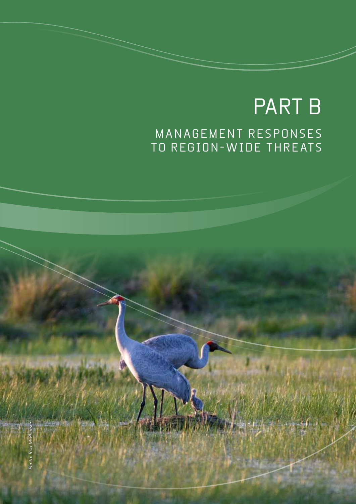# PART B M ANAGEMENT RESPONS ES TO REGION-WIDE THREATS

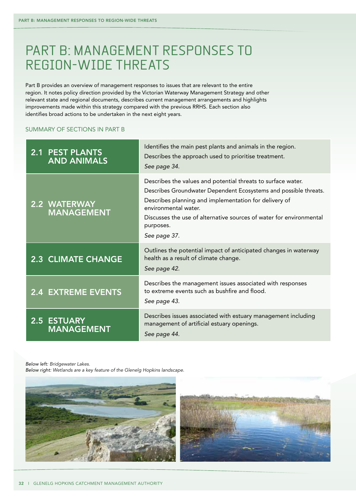## PART B: MANAGEMENT RESPONSES TO region-wide threats

Part B provides an overview of management responses to issues that are relevant to the entire region. It notes policy direction provided by the Victorian Waterway Management Strategy and other relevant state and regional documents, describes current management arrangements and highlights improvements made within this strategy compared with the previous RRHS. Each section also identifies broad actions to be undertaken in the next eight years.

## Summary of sections in Part B

| <b>2.1 PEST PLANTS</b><br><b>AND ANIMALS</b> | Identifies the main pest plants and animals in the region.<br>Describes the approach used to prioritise treatment.<br>See page 34.                                                                                                                                                                                    |
|----------------------------------------------|-----------------------------------------------------------------------------------------------------------------------------------------------------------------------------------------------------------------------------------------------------------------------------------------------------------------------|
| 2.2 WATERWAY<br><b>MANAGEMENT</b>            | Describes the values and potential threats to surface water.<br>Describes Groundwater Dependent Ecosystems and possible threats.<br>Describes planning and implementation for delivery of<br>environmental water.<br>Discusses the use of alternative sources of water for environmental<br>purposes.<br>See page 37. |
| <b>2.3 CLIMATE CHANGE</b>                    | Outlines the potential impact of anticipated changes in waterway<br>health as a result of climate change.<br>See page 42.                                                                                                                                                                                             |
| <b>2.4 EXTREME EVENTS</b>                    | Describes the management issues associated with responses<br>to extreme events such as bushfire and flood.<br>See page 43.                                                                                                                                                                                            |
| <b>2.5 ESTUARY</b><br><b>MANAGEMENT</b>      | Describes issues associated with estuary management including<br>management of artificial estuary openings.<br>See page 44.                                                                                                                                                                                           |

*Below left: Bridgewater Lakes.*

*Below right: Wetlands are a key feature of the Glenelg Hopkins landscape.*

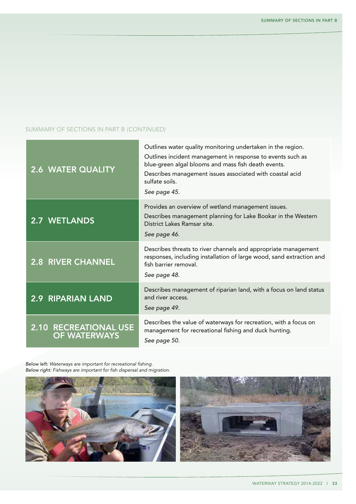## Summary of sections in Part B *(continued)*

| <b>2.6 WATER QUALITY</b>                            | Outlines water quality monitoring undertaken in the region.<br>Outlines incident management in response to events such as<br>blue-green algal blooms and mass fish death events.<br>Describes management issues associated with coastal acid<br>sulfate soils.<br>See page 45. |
|-----------------------------------------------------|--------------------------------------------------------------------------------------------------------------------------------------------------------------------------------------------------------------------------------------------------------------------------------|
| <b>2.7 WETLANDS</b>                                 | Provides an overview of wetland management issues.<br>Describes management planning for Lake Bookar in the Western<br>District Lakes Ramsar site.<br>See page 46.                                                                                                              |
| <b>2.8 RIVER CHANNEL</b>                            | Describes threats to river channels and appropriate management<br>responses, including installation of large wood, sand extraction and<br>fish barrier removal.<br>See page 48.                                                                                                |
| 2.9 RIPARIAN LAND                                   | Describes management of riparian land, with a focus on land status<br>and river access.<br>See page 49.                                                                                                                                                                        |
| <b>2.10 RECREATIONAL USE</b><br><b>OF WATERWAYS</b> | Describes the value of waterways for recreation, with a focus on<br>management for recreational fishing and duck hunting.<br>See page 50.                                                                                                                                      |

*Below left: Waterways are important for recreational fishing. Below right: Fishways are important for fish dispersal and migration.*



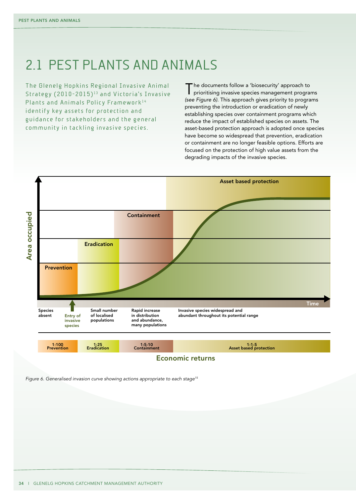## 2.1 PEST PLANTS AND ANIMALS

The Glenelg Hopkins Regional Invasive Animal Strategy (2010-2015)<sup>13</sup> and Victoria's Invasive Plants and Animals Policy Framework<sup>14</sup> identify key assets for protection and guidance for stakeholders and the general community in tackling invasive species.

The documents follow a 'biosecurity' approach to prioritising invasive species management programs *(see Figure 6)*. This approach gives priority to programs preventing the introduction or eradication of newly establishing species over containment programs which reduce the impact of established species on assets. The asset-based protection approach is adopted once species have become so widespread that prevention, eradication or containment are no longer feasible options. Efforts are focused on the protection of high value assets from the degrading impacts of the invasive species.



Economic returns

*Figure 6. Generalised invasion curve showing actions appropriate to each stage15*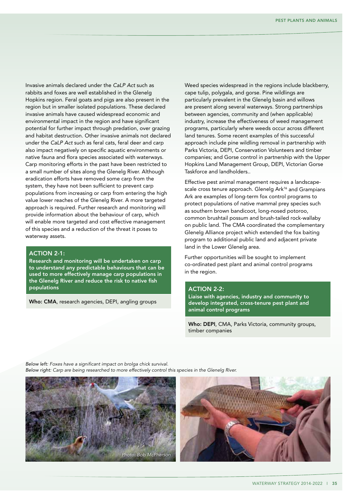Invasive animals declared under the *CaLP Act* such as rabbits and foxes are well established in the Glenelg Hopkins region. Feral goats and pigs are also present in the region but in smaller isolated populations. These declared invasive animals have caused widespread economic and environmental impact in the region and have significant potential for further impact through predation, over grazing and habitat destruction. Other invasive animals not declared under the *CaLP Act* such as feral cats, feral deer and carp also impact negatively on specific aquatic environments or native fauna and flora species associated with waterways. Carp monitoring efforts in the past have been restricted to a small number of sites along the Glenelg River. Although eradication efforts have removed some carp from the system, they have not been sufficient to prevent carp populations from increasing or carp from entering the high value lower reaches of the Glenelg River. A more targeted approach is required. Further research and monitoring will provide information about the behaviour of carp, which will enable more targeted and cost effective management of this species and a reduction of the threat it poses to waterway assets.

## ACTION 2-1:

Research and monitoring will be undertaken on carp to understand any predictable behaviours that can be used to more effectively manage carp populations in the Glenelg River and reduce the risk to native fish populations

Who: CMA, research agencies, DEPI, angling groups

Weed species widespread in the regions include blackberry, cape tulip, polygala, and gorse. Pine wildlings are particularly prevalent in the Glenelg basin and willows are present along several waterways. Strong partnerships between agencies, community and (when applicable) industry, increase the effectiveness of weed management programs, particularly where weeds occur across different land tenures. Some recent examples of this successful approach include pine wildling removal in partnership with Parks Victoria, DEPI, Conservation Volunteers and timber companies; and Gorse control in partnership with the Upper Hopkins Land Management Group, DEPI, Victorian Gorse Taskforce and landholders..

Effective pest animal management requires a landscapescale cross tenure approach. Glenelg Ark<sup>16</sup> and Grampians Ark are examples of long-term fox control programs to protect populations of native mammal prey species such as southern brown bandicoot, long-nosed potoroo, common brushtail possum and brush-tailed rock-wallaby on public land. The CMA coordinated the complementary Glenelg Alliance project which extended the fox baiting program to additional public land and adjacent private land in the Lower Glenelg area.

Further opportunities will be sought to implement co-ordinated pest plant and animal control programs in the region.

## **ACTION 2-2:**

Liaise with agencies, industry and community to develop integrated, cross-tenure pest plant and animal control programs

Who: DEPI, CMA, Parks Victoria, community groups, timber companies

*Below left: Foxes have a significant impact on brolga chick survival. Below right: Carp are being researched to more effectively control this species in the Glenelg River.*



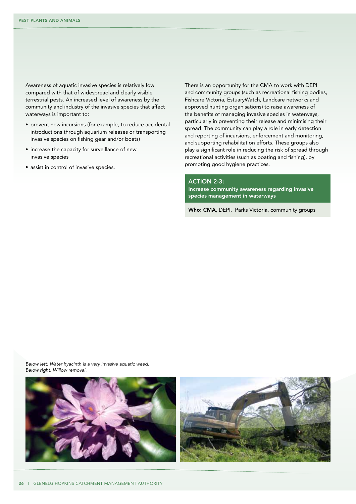Awareness of aquatic invasive species is relatively low compared with that of widespread and clearly visible terrestrial pests. An increased level of awareness by the community and industry of the invasive species that affect waterways is important to:

- prevent new incursions (for example, to reduce accidental introductions through aquarium releases or transporting invasive species on fishing gear and/or boats)
- increase the capacity for surveillance of new invasive species
- assist in control of invasive species.

There is an opportunity for the CMA to work with DEPI and community groups (such as recreational fishing bodies, Fishcare Victoria, EstuaryWatch, Landcare networks and approved hunting organisations) to raise awareness of the benefits of managing invasive species in waterways, particularly in preventing their release and minimising their spread. The community can play a role in early detection and reporting of incursions, enforcement and monitoring, and supporting rehabilitation efforts. These groups also play a significant role in reducing the risk of spread through recreational activities (such as boating and fishing), by promoting good hygiene practices.

## ACTION 2-3:

Increase community awareness regarding invasive species management in waterways

Who: CMA, DEPI, Parks Victoria, community groups

*Below left: Water hyacinth is a very invasive aquatic weed. Below right: Willow removal.*



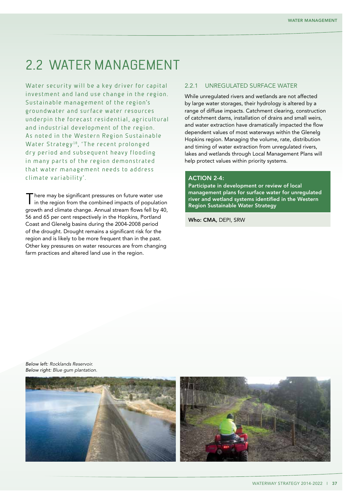## 2.2 Water management

Water security will be a key driver for capital investment and land use change in the region. Sustainable management of the region's groundwater and surface water resources underpin the forecast residential, agricultural and industrial development of the region. As noted in the Western Region Sustainable Water Strategy<sup>18</sup>, 'The recent prolonged dry period and subsequent heavy flooding in many parts of the region demonstrated that water management needs to address climate variability'.

There may be significant pressures on future water use in the region from the combined impacts of population growth and climate change. Annual stream flows fell by 40, 56 and 65 per cent respectively in the Hopkins, Portland Coast and Glenelg basins during the 2004-2008 period of the drought. Drought remains a significant risk for the region and is likely to be more frequent than in the past. Other key pressures on water resources are from changing farm practices and altered land use in the region.

## 2.2.1 Unregulated surface water

While unregulated rivers and wetlands are not affected by large water storages, their hydrology is altered by a range of diffuse impacts. Catchment clearing, construction of catchment dams, installation of drains and small weirs, and water extraction have dramatically impacted the flow dependent values of most waterways within the Glenelg Hopkins region. Managing the volume, rate, distribution and timing of water extraction from unregulated rivers, lakes and wetlands through Local Management Plans will help protect values within priority systems.

### **ACTION 2-4:**

Participate in development or review of local management plans for surface water for unregulated river and wetland systems identified in the Western Region Sustainable Water Strategy

Who: CMA, DEPI, SRW

*Below left: Rocklands Reservoir. Below right: Blue gum plantation.*

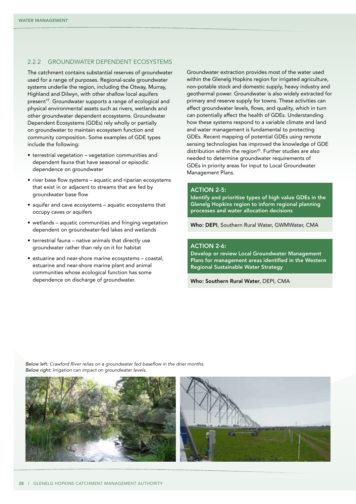#### 2.2.2 Groundwater dependent ecosystems

The catchment contains substantial reserves of groundwater used for a range of purposes. Regional-scale groundwater systems underlie the region, including the Otway, Murray, Highland and Dilwyn, with other shallow local aquifers present<sup>19</sup>. Groundwater supports a range of ecological and physical environmental assets such as rivers, wetlands and other groundwater dependent ecosystems. Groundwater Dependent Ecosystems (GDEs) rely wholly or partially on groundwater to maintain ecosystem function and community composition. Some examples of GDE types include the following:

- • terrestrial vegetation vegetation communities and dependent fauna that have seasonal or episodic dependence on groundwater
- river base flow systems aquatic and riparian ecosystems that exist in or adjacent to streams that are fed by groundwater base flow
- aquifer and cave ecosystems aquatic ecosystems that occupy caves or aquifers
- wetlands aquatic communities and fringing vegetation dependent on groundwater-fed lakes and wetlands
- terrestrial fauna native animals that directly use groundwater rather than rely on it for habitat
- • estuarine and near-shore marine ecosystems coastal, estuarine and near-shore marine plant and animal communities whose ecological function has some dependence on discharge of groundwater.

Groundwater extraction provides most of the water used within the Glenelg Hopkins region for irrigated agriculture, non-potable stock and domestic supply, heavy industry and geothermal power. Groundwater is also widely extracted for primary and reserve supply for towns. These activities can affect groundwater levels, flows, and quality, which in turn can potentially affect the health of GDEs. Understanding how these systems respond to a variable climate and land and water management is fundamental to protecting GDEs. Recent mapping of potential GDEs using remote sensing technologies has improved the knowledge of GDE distribution within the region<sup>20</sup>. Further studies are also needed to determine groundwater requirements of GDEs in priority areas for input to Local Groundwater Management Plans.

#### **ACTION 2-5:**

Identify and prioritise types of high value GDEs in the Glenelg Hopkins region to inform regional planning processes and water allocation decisions

Who: DEPI, Southern Rural Water, GWMWater, CMA

### **ACTION 2-6:**

Develop or review Local Groundwater Management Plans for management areas identified in the Western Regional Sustainable Water Strategy

Who: Southern Rural Water, DEPI, CMA

*Below left: Crawford River relies on a groundwater fed baseflow in the drier months. Below right: Irrigation can impact on groundwater levels.*



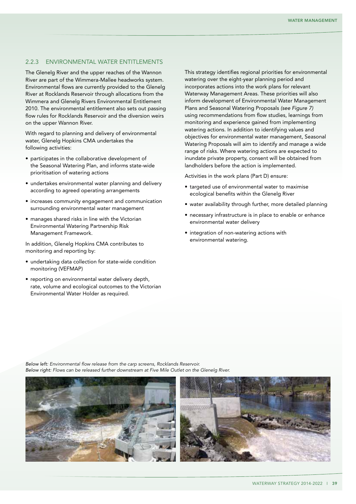#### 2.2.3 Environmental Water Entitlements

The Glenelg River and the upper reaches of the Wannon River are part of the Wimmera-Mallee headworks system. Environmental flows are currently provided to the Glenelg River at Rocklands Reservoir through allocations from the Wimmera and Glenelg Rivers Environmental Entitlement 2010. The environmental entitlement also sets out passing flow rules for Rocklands Reservoir and the diversion weirs on the upper Wannon River.

With regard to planning and delivery of environmental water, Glenelg Hopkins CMA undertakes the following activities:

- participates in the collaborative development of the Seasonal Watering Plan, and informs state-wide prioritisation of watering actions
- undertakes environmental water planning and delivery according to agreed operating arrangements
- increases community engagement and communication surrounding environmental water management
- manages shared risks in line with the Victorian Environmental Watering Partnership Risk Management Framework.

In addition, Glenelg Hopkins CMA contributes to monitoring and reporting by:

- undertaking data collection for state-wide condition monitoring (VEFMAP)
- reporting on environmental water delivery depth, rate, volume and ecological outcomes to the Victorian Environmental Water Holder as required.

This strategy identifies regional priorities for environmental watering over the eight-year planning period and incorporates actions into the work plans for relevant Waterway Management Areas. These priorities will also inform development of Environmental Water Management Plans and Seasonal Watering Proposals *(see Figure 7)* using recommendations from flow studies, learnings from monitoring and experience gained from implementing watering actions. In addition to identifying values and objectives for environmental water management, Seasonal Watering Proposals will aim to identify and manage a wide range of risks. Where watering actions are expected to inundate private property, consent will be obtained from landholders before the action is implemented.

Activities in the work plans (Part D) ensure:

- • targeted use of environmental water to maximise ecological benefits within the Glenelg River
- water availability through further, more detailed planning
- necessary infrastructure is in place to enable or enhance environmental water delivery
- integration of non-watering actions with environmental watering.

*Below left: Environmental flow release from the carp screens, Rocklands Reservoir. Below right: Flows can be released further downstream at Five Mile Outlet on the Glenelg River.*



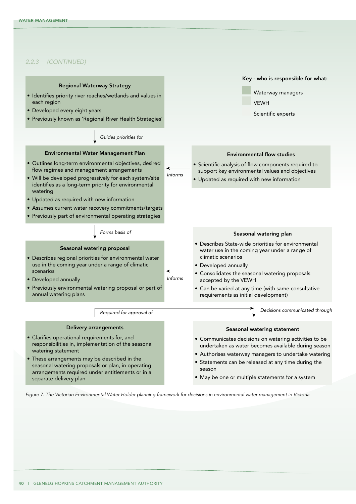#### *2.2.3 (CONTINUED)*



*Figure 7. The Victorian Environmental Water Holder planning framework for decisions in environmental water management in Victoria*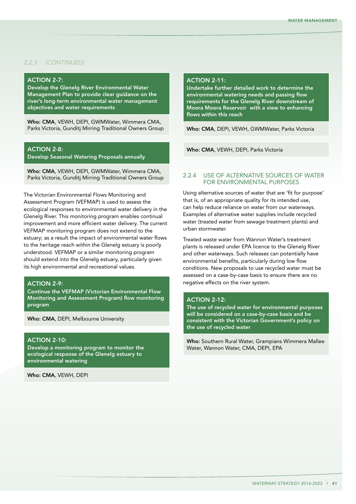## *2.2.3 (CONTINUED)*

#### **ACTION 2-7:**

Develop the Glenelg River Environmental Water Management Plan to provide clear guidance on the river's long-term environmental water management objectives and water requirements

Who: CMA, VEWH, DEPI, GWMWater, Wimmera CMA, Parks Victoria, Gunditj Mirring Traditional Owners Group

## ACTION 2-8:

Develop Seasonal Watering Proposals annually

Who: CMA, VEWH, DEPI, GWMWater, Wimmera CMA, Parks Victoria, Gunditj Mirring Traditional Owners Group

The Victorian Environmental Flows Monitoring and Assessment Program (VEFMAP) is used to assess the ecological responses to environmental water delivery in the Glenelg River. This monitoring program enables continual improvement and more efficient water delivery. The current VEFMAP monitoring program does not extend to the estuary; as a result the impact of environmental water flows to the heritage reach within the Glenelg estuary is poorly understood. VEFMAP or a similar monitoring program should extend into the Glenelg estuary, particularly given its high environmental and recreational values.

### **ACTION 2-9:**

Continue the VEFMAP (Victorian Environmental Flow Monitoring and Assessment Program) flow monitoring program

Who: CMA, DEPI, Melbourne University

## **ACTION 2-10:**

Develop a monitoring program to monitor the ecological response of the Glenelg estuary to environmental watering

Who: CMA, VEWH, DEPI

## **ACTION 2-11:**

Undertake further detailed work to determine the environmental watering needs and passing flow requirements for the Glenelg River downstream of Moora Moora Reservoir with a view to enhancing flows within this reach

Who: CMA, DEPI, VEWH, GWMWater, Parks Victoria

Who: CMA, VEWH, DEPI, Parks Victoria

#### 2.2.4 Use of alternative sources of water for environmental purposes

Using alternative sources of water that are 'fit for purpose' that is, of an appropriate quality for its intended use, can help reduce reliance on water from our waterways. Examples of alternative water supplies include recycled water (treated water from sewage treatment plants) and urban stormwater.

Treated waste water from Wannon Water's treatment plants is released under EPA licence to the Glenelg River and other waterways. Such releases can potentially have environmental benefits, particularly during low flow conditions. New proposals to use recycled water must be assessed on a case-by-case basis to ensure there are no negative effects on the river system.

#### **ACTION 2-12:**

The use of recycled water for environmental purposes will be considered on a case-by-case basis and be consistent with the Victorian Government's policy on the use of recycled water

Who: Southern Rural Water, Grampians Wimmera Mallee Water, Wannon Water, CMA, DEPI, EPA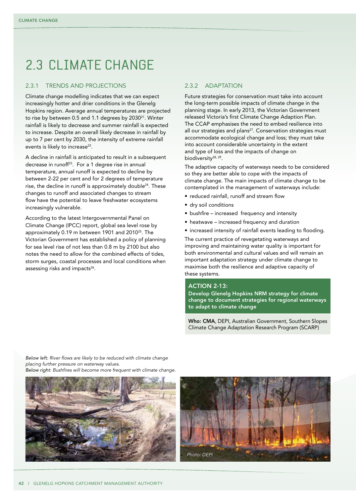## 2.3 Climate change

### 2.3.1 TRENDS AND PROJECTIONS

Climate change modelling indicates that we can expect increasingly hotter and drier conditions in the Glenelg Hopkins region. Average annual temperatures are projected to rise by between 0.5 and 1.1 degrees by 2030<sup>21</sup>. Winter rainfall is likely to decrease and summer rainfall is expected to increase. Despite an overall likely decrease in rainfall by up to 7 per cent by 2030, the intensity of extreme rainfall events is likely to increase<sup>22</sup>.

A decline in rainfall is anticipated to result in a subsequent decrease in runoff<sup>23</sup>. For a 1 degree rise in annual temperature, annual runoff is expected to decline by between 2-22 per cent and for 2 degrees of temperature rise, the decline in runoff is approximately double<sup>24</sup>. These changes to runoff and associated changes to stream flow have the potential to leave freshwater ecosystems increasingly vulnerable.

According to the latest Intergovernmental Panel on Climate Change (IPCC) report, global sea level rose by approximately 0.19 m between 1901 and 201025. The Victorian Government has established a policy of planning for sea level rise of not less than 0.8 m by 2100 but also notes the need to allow for the combined effects of tides, storm surges, coastal processes and local conditions when assessing risks and impacts<sup>26</sup>.

## 2.3.2 ADAPTATION

Future strategies for conservation must take into account the long-term possible impacts of climate change in the planning stage. In early 2013, the Victorian Government released Victoria's first Climate Change Adaption Plan. The CCAP emphasises the need to embed resilience into all our strategies and plans<sup>27</sup>. Conservation strategies must accommodate ecological change and loss; they must take into account considerable uncertainty in the extent and type of loss and the impacts of change on biodiversity<sup>28, 29</sup>.

The adaptive capacity of waterways needs to be considered so they are better able to cope with the impacts of climate change. The main impacts of climate change to be contemplated in the management of waterways include:

- reduced rainfall, runoff and stream flow
- dry soil conditions
- bushfire increased frequency and intensity
- heatwave increased frequency and duration
- increased intensity of rainfall events leading to flooding.

The current practice of revegetating waterways and improving and maintaining water quality is important for both environmental and cultural values and will remain an important adaptation strategy under climate change to maximise both the resilience and adaptive capacity of these systems.

#### **ACTION 2-13:**

Develop Glenelg Hopkins NRM strategy for climate change to document strategies for regional waterways to adapt to climate change

Who: CMA, DEPI, Australian Government, Southern Slopes Climate Change Adaptation Research Program (SCARP)

*Below left: River flows are likely to be reduced with climate change placing further pressure on waterway values. Below right: Bushfires will become more frequent with climate change.*

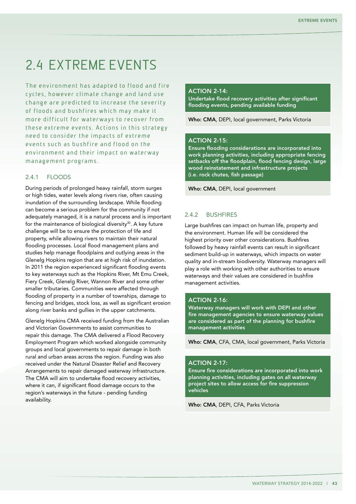## 2.4 Extreme events

The environment has adapted to flood and fire cycles, however climate change and land use change are predicted to increase the severity of floods and bushfires which may make it more difficult for waterways to recover from these extreme events. Actions in this strategy need to consider the impacts of extreme events such as bushfire and flood on the environment and their impact on waterway management programs.

## 2.4.1 Floods

During periods of prolonged heavy rainfall, storm surges or high tides, water levels along rivers rise, often causing inundation of the surrounding landscape. While flooding can become a serious problem for the community if not adequately managed, it is a natural process and is important for the maintenance of biological diversity $30$ . A key future challenge will be to ensure the protection of life and property, while allowing rivers to maintain their natural flooding processes. Local flood management plans and studies help manage floodplains and outlying areas in the Glenelg Hopkins region that are at high risk of inundation. In 2011 the region experienced significant flooding events to key waterways such as the Hopkins River, Mt Emu Creek, Fiery Creek, Glenelg River, Wannon River and some other smaller tributaries. Communities were affected through flooding of property in a number of townships, damage to fencing and bridges, stock loss, as well as significant erosion along river banks and gullies in the upper catchments.

Glenelg Hopkins CMA received funding from the Australian and Victorian Governments to assist communities to repair this damage. The CMA delivered a Flood Recovery Employment Program which worked alongside community groups and local governments to repair damage in both rural and urban areas across the region. Funding was also received under the Natural Disaster Relief and Recovery Arrangements to repair damaged waterway infrastructure. The CMA will aim to undertake flood recovery activities, where it can, if significant flood damage occurs to the region's waterways in the future - pending funding availability.

### $ACTION 2-14$

Undertake flood recovery activities after significant flooding events, pending available funding

Who: CMA, DEPI, local government, Parks Victoria

## **ACTION 2-15:**

Ensure flooding considerations are incorporated into work planning activities, including appropriate fencing setbacks off the floodplain, flood fencing design, large wood reinstatement and infrastructure projects (i.e. rock chutes, fish passage)

Who: CMA, DEPI, local government

#### 2.4.2 Bushfires

Large bushfires can impact on human life, property and the environment. Human life will be considered the highest priority over other considerations. Bushfires followed by heavy rainfall events can result in significant sediment build-up in waterways, which impacts on water quality and in-stream biodiversity. Waterway managers will play a role with working with other authorities to ensure waterways and their values are considered in bushfire management activities.

#### **ACTION 2-16:**

Waterway managers will work with DEPI and other fire management agencies to ensure waterway values are considered as part of the planning for bushfire management activities

Who: CMA, CFA, CMA, local government, Parks Victoria

#### **ACTION 2-17:**

Ensure fire considerations are incorporated into work planning activities, including gates on all waterway project sites to allow access for fire suppression vehicles

Who: CMA, DEPI, CFA, Parks Victoria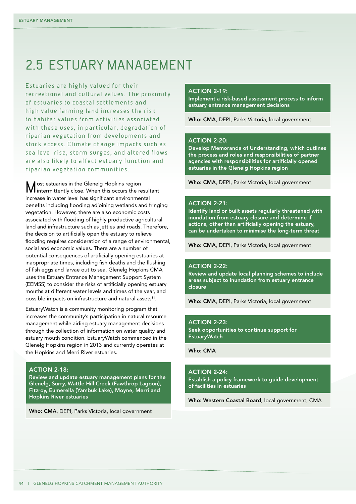## 2.5 Estuary management

Estuaries are highly valued for their recreational and cultural values. The proximity of estuaries to coastal settlements and high value farming land increases the risk to habitat values from activities associated with these uses, in particular, degradation of riparian vegetation from developments and stock access. Climate change impacts such as sea level rise, storm surges, and altered flows are also likely to affect estuary function and riparian vegetation communities.

Most estuaries in the Glenelg Hopkins region intermittently close. When this occurs the resultant increase in water level has significant environmental benefits including flooding adjoining wetlands and fringing vegetation. However, there are also economic costs associated with flooding of highly productive agricultural land and infrastructure such as jetties and roads. Therefore, the decision to artificially open the estuary to relieve flooding requires consideration of a range of environmental, social and economic values. There are a number of potential consequences of artificially opening estuaries at inappropriate times, including fish deaths and the flushing of fish eggs and larvae out to sea. Glenelg Hopkins CMA uses the Estuary Entrance Management Support System (EEMSS) to consider the risks of artificially opening estuary mouths at different water levels and times of the year, and possible impacts on infrastructure and natural assets<sup>31</sup>.

EstuaryWatch is a community monitoring program that increases the community's participation in natural resource management while aiding estuary management decisions through the collection of information on water quality and estuary mouth condition. EstuaryWatch commenced in the Glenelg Hopkins region in 2013 and currently operates at the Hopkins and Merri River estuaries.

## **ACTION 2-18:**

Review and update estuary management plans for the Glenelg, Surry, Wattle Hill Creek (Fawthrop Lagoon), Fitzroy, Eumerella (Yambuk Lake), Moyne, Merri and Hopkins River estuaries

Who: CMA, DEPI, Parks Victoria, local government

#### $AC$ TION  $2-19$

Implement a risk-based assessment process to inform estuary entrance management decisions

Who: CMA, DEPI, Parks Victoria, local government

### **ACTION 2-20:**

Develop Memoranda of Understanding, which outlines the process and roles and responsibilities of partner agencies with responsibilities for artificially opened estuaries in the Glenelg Hopkins region

Who: CMA, DEPI, Parks Victoria, local government

#### **ACTION 2-21:**

Identify land or built assets regularly threatened with inundation from estuary closure and determine if actions, other than artificially opening the estuary, can be undertaken to minimise the long-term threat

Who: CMA, DEPI, Parks Victoria, local government

#### **ACTION 2-22:**

Review and update local planning schemes to include areas subject to inundation from estuary entrance closure

Who: CMA, DEPI, Parks Victoria, local government

#### **ACTION 2-23:**

Seek opportunities to continue support for **EstuaryWatch** 

Who: CMA

## ACTION 2-24:

Establish a policy framework to guide development of facilities in estuaries

Who: Western Coastal Board, local government, CMA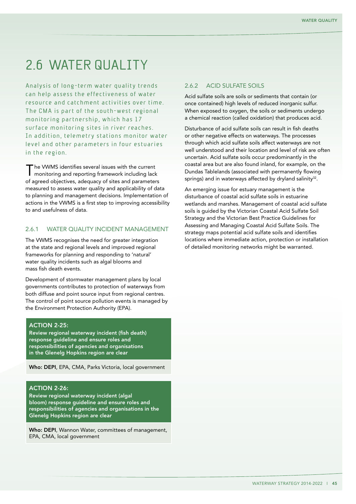## 2.6 WATER QUALITY

Analysis of long-term water quality trends can help assess the effectiveness of water resource and catchment activities over time. The CMA is part of the south-west regional monitoring partnership, which has 17 surface monitoring sites in river reaches. In addition, telemetry stations monitor water level and other parameters in four estuaries in the region.

'he VWMS identifies several issues with the current monitoring and reporting framework including lack of agreed objectives, adequacy of sites and parameters measured to assess water quality and applicability of data to planning and management decisions. Implementation of actions in the VWMS is a first step to improving accessibility to and usefulness of data.

## 2.6.1 WATER OUALITY INCIDENT MANAGEMENT

The VWMS recognises the need for greater integration at the state and regional levels and improved regional frameworks for planning and responding to 'natural' water quality incidents such as algal blooms and mass fish death events.

Development of stormwater management plans by local governments contributes to protection of waterways from both diffuse and point source input from regional centres. The control of point source pollution events is managed by the Environment Protection Authority (EPA).

### **ACTION 2-25:**

Review regional waterway incident (fish death) response guideline and ensure roles and responsibilities of agencies and organisations in the Glenelg Hopkins region are clear

Who: DEPI, EPA, CMA, Parks Victoria, local government

#### **ACTION 2-26:**

Review regional waterway incident (algal bloom) response guideline and ensure roles and responsibilities of agencies and organisations in the Glenelg Hopkins region are clear

Who: DEPI, Wannon Water, committees of management, EPA, CMA, local government

### 2.6.2 ACID SULFATE SOILS

Acid sulfate soils are soils or sediments that contain (or once contained) high levels of reduced inorganic sulfur. When exposed to oxygen, the soils or sediments undergo a chemical reaction (called oxidation) that produces acid.

Disturbance of acid sulfate soils can result in fish deaths or other negative effects on waterways. The processes through which acid sulfate soils affect waterways are not well understood and their location and level of risk are often uncertain. Acid sulfate soils occur predominantly in the coastal area but are also found inland, for example, on the Dundas Tablelands (associated with permanently flowing springs) and in waterways affected by dryland salinity<sup>32</sup>.

An emerging issue for estuary management is the disturbance of coastal acid sulfate soils in estuarine wetlands and marshes. Management of coastal acid sulfate soils is guided by the Victorian Coastal Acid Sulfate Soil Strategy and the Victorian Best Practice Guidelines for Assessing and Managing Coastal Acid Sulfate Soils. The strategy maps potential acid sulfate soils and identifies locations where immediate action, protection or installation of detailed monitoring networks might be warranted.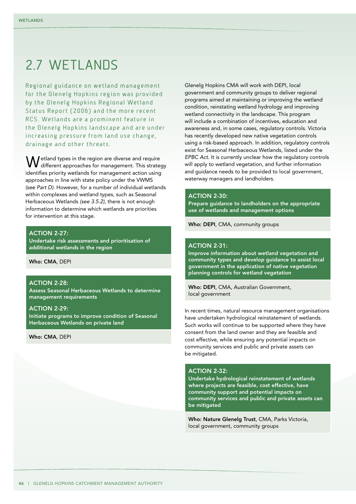## 2.7 WFTI ANDS

Regional guidance on wetland management for the Glenelg Hopkins region was provided by the Glenele Hopkins Regional Wetland Status Report (2006) and the more recent RCS. Wetlands are a prominent feature in the Glenelg Hopkins landscape and are under increasing pressure from land use change, drainage and other threats.

etland types in the region are diverse and require different approaches for management. This strategy identifies priority wetlands for management action using approaches in line with state policy under the VWMS *(see Part D)*. However, for a number of individual wetlands within complexes and wetland types, such as Seasonal Herbaceous Wetlands *(see 3.5.2)*, there is not enough information to determine which wetlands are priorities for intervention at this stage.

#### **ACTION 2-27:**

Undertake risk assessments and prioritisation of additional wetlands in the region

#### Who: CMA, DEPI

### **ACTION 2-28:**

Assess Seasonal Herbaceous Wetlands to determine management requirements

#### **ACTION 2-29:**

Initiate programs to improve condition of Seasonal Herbaceous Wetlands on private land

#### Who: CMA, DEPI

Glenelg Hopkins CMA will work with DEPI, local government and community groups to deliver regional programs aimed at maintaining or improving the wetland condition, reinstating wetland hydrology and improving wetland connectivity in the landscape. This program will include a combination of incentives, education and awareness and, in some cases, regulatory controls. Victoria has recently developed new native vegetation controls using a risk-based approach. In addition, regulatory controls exist for Seasonal Herbaceous Wetlands, listed under the *EPBC Act*. It is currently unclear how the regulatory controls will apply to wetland vegetation, and further information and guidance needs to be provided to local government, waterway managers and landholders.

#### ACTION 2-30:

Prepare guidance to landholders on the appropriate use of wetlands and management options

Who: DEPI, CMA, community groups

#### **ACTION 2-31:**

Improve information about wetland vegetation and community types and develop guidance to assist local government in the application of native vegetation planning controls for wetland vegetation

Who: DEPI, CMA, Australian Government, local government

In recent times, natural resource management organisations have undertaken hydrological reinstatement of wetlands. Such works will continue to be supported where they have consent from the land owner and they are feasible and cost effective, while ensuring any potential impacts on community services and public and private assets can be mitigated.

#### **ACTION 2-32:**

Undertake hydrological reinstatement of wetlands where projects are feasible, cost effective, have community support and potential impacts on community services and public and private assets can be mitigated

Who: Nature Glenelg Trust, CMA, Parks Victoria, local government, community groups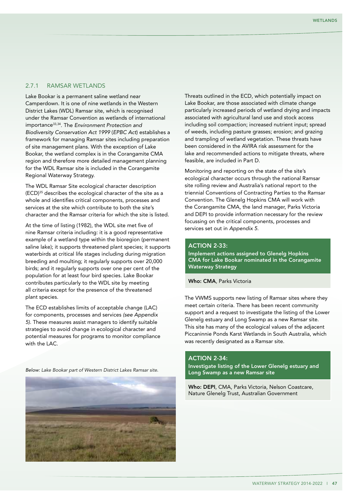## 2.7.1 Ramsar wetlands

Lake Bookar is a permanent saline wetland near Camperdown. It is one of nine wetlands in the Western District Lakes (WDL) Ramsar site, which is recognised under the Ramsar Convention as wetlands of international importance33,34. The *Environment Protection and Biodiversity Conservation Act 1999* (*EPBC Act*) establishes a framework for managing Ramsar sites including preparation of site management plans. With the exception of Lake Bookar, the wetland complex is in the Corangamite CMA region and therefore more detailed management planning for the WDL Ramsar site is included in the Corangamite Regional Waterway Strategy.

The WDL Ramsar Site ecological character description (ECD)35 describes the ecological character of the site as a whole and identifies critical components, processes and services at the site which contribute to both the site's character and the Ramsar criteria for which the site is listed.

At the time of listing (1982), the WDL site met five of nine Ramsar criteria including: it is a good representative example of a wetland type within the bioregion (permanent saline lake); it supports threatened plant species; it supports waterbirds at critical life stages including during migration breeding and moulting; it regularly supports over 20,000 birds; and it regularly supports over one per cent of the population for at least four bird species. Lake Bookar contributes particularly to the WDL site by meeting all criteria except for the presence of the threatened plant species.

The ECD establishes limits of acceptable change (LAC) for components, processes and services *(see Appendix 5)*. These measures assist managers to identify suitable strategies to avoid change in ecological character and potential measures for programs to monitor compliance with the LAC.

*Below: Lake Bookar part of Western District Lakes Ramsar site.*



Threats outlined in the ECD, which potentially impact on Lake Bookar, are those associated with climate change particularly increased periods of wetland drying and impacts associated with agricultural land use and stock access including soil compaction; increased nutrient input; spread of weeds, including pasture grasses; erosion; and grazing and trampling of wetland vegetation. These threats have been considered in the AVIRA risk assessment for the lake and recommended actions to mitigate threats, where feasible, are included in Part D.

Monitoring and reporting on the state of the site's ecological character occurs through the national Ramsar site rolling review and Australia's national report to the triennial Conventions of Contracting Parties to the Ramsar Convention. The Glenelg Hopkins CMA will work with the Corangamite CMA, the land manager, Parks Victoria and DEPI to provide information necessary for the review focussing on the critical components, processes and services set out in *Appendix 5*.

### $ACTION 2-33:$

Implement actions assigned to Glenelg Hopkins CMA for Lake Bookar nominated in the Corangamite Waterway Strategy

Who: CMA, Parks Victoria

The VWMS supports new listing of Ramsar sites where they meet certain criteria. There has been recent community support and a request to investigate the listing of the Lower Glenelg estuary and Long Swamp as a new Ramsar site. This site has many of the ecological values of the adjacent Piccaninnie Ponds Karst Wetlands in South Australia, which was recently designated as a Ramsar site.

#### **ACTION 2-34:**

Investigate listing of the Lower Glenelg estuary and Long Swamp as a new Ramsar site

Who: DEPI, CMA, Parks Victoria, Nelson Coastcare, Nature Glenelg Trust, Australian Government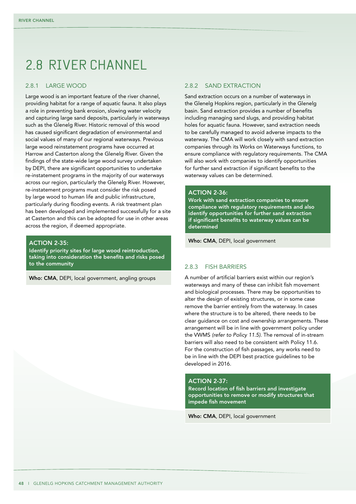## 2.8 River channel

#### 2.8.1 Large wood

Large wood is an important feature of the river channel, providing habitat for a range of aquatic fauna. It also plays a role in preventing bank erosion, slowing water velocity and capturing large sand deposits, particularly in waterways such as the Glenelg River. Historic removal of this wood has caused significant degradation of environmental and social values of many of our regional waterways. Previous large wood reinstatement programs have occurred at Harrow and Casterton along the Glenelg River. Given the findings of the state-wide large wood survey undertaken by DEPI, there are significant opportunities to undertake re-instatement programs in the majority of our waterways across our region, particularly the Glenelg River. However, re-instatement programs must consider the risk posed by large wood to human life and public infrastructure, particularly during flooding events. A risk treatment plan has been developed and implemented successfully for a site at Casterton and this can be adopted for use in other areas across the region, if deemed appropriate.

#### **ACTION 2-35:**

Identify priority sites for large wood reintroduction, taking into consideration the benefits and risks posed to the community

Who: CMA, DEPI, local government, angling groups

## 2.8.2 Sand extraction

Sand extraction occurs on a number of waterways in the Glenelg Hopkins region, particularly in the Glenelg basin. Sand extraction provides a number of benefits including managing sand slugs, and providing habitat holes for aquatic fauna. However, sand extraction needs to be carefully managed to avoid adverse impacts to the waterway. The CMA will work closely with sand extraction companies through its Works on Waterways functions, to ensure compliance with regulatory requirements. The CMA will also work with companies to identify opportunities for further sand extraction if significant benefits to the waterway values can be determined.

## **ACTION 2-36:**

Work with sand extraction companies to ensure compliance with regulatory requirements and also identify opportunities for further sand extraction if significant benefits to waterway values can be determined

Who: CMA, DEPI, local government

## 2.8.3 Fish barriers

A number of artificial barriers exist within our region's waterways and many of these can inhibit fish movement and biological processes. There may be opportunities to alter the design of existing structures, or in some case remove the barrier entirely from the waterway. In cases where the structure is to be altered, there needs to be clear guidance on cost and ownership arrangements. These arrangement will be in line with government policy under the VWMS *(refer to Policy 11.5)*. The removal of in-stream barriers will also need to be consistent with Policy 11.6. For the construction of fish passages, any works need to be in line with the DEPI best practice guidelines to be developed in 2016.

#### **ACTION 2-37:**

Record location of fish barriers and investigate opportunities to remove or modify structures that impede fish movement

Who: CMA, DEPI, local government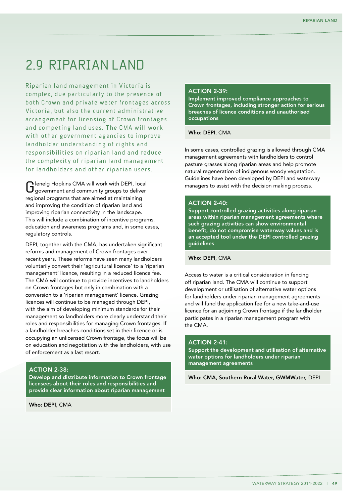## 2.9 Riparian land

Riparian land management in Victoria is complex, due particularly to the presence of both Crown and private water frontages across Victoria, but also the current administrative arrangement for licensing of Crown frontages and competing land uses. The CMA will work with other government agencies to improve landholder understanding of rights and responsibilities on riparian land and reduce the complexity of riparian land management for landholders and other riparian users.

Glenelg Hopkins CMA will work with DEPI, local government and community groups to deliver regional programs that are aimed at maintaining and improving the condition of riparian land and improving riparian connectivity in the landscape. This will include a combination of incentive programs, education and awareness programs and, in some cases, regulatory controls.

DEPI, together with the CMA, has undertaken significant reforms and management of Crown frontages over recent years. These reforms have seen many landholders voluntarily convert their 'agricultural licence' to a 'riparian management' licence, resulting in a reduced licence fee. The CMA will continue to provide incentives to landholders on Crown frontages but only in combination with a conversion to a 'riparian management' licence. Grazing licences will continue to be managed through DEPI, with the aim of developing minimum standards for their management so landholders more clearly understand their roles and responsibilities for managing Crown frontages. If a landholder breaches conditions set in their licence or is occupying an unlicensed Crown frontage, the focus will be on education and negotiation with the landholders, with use of enforcement as a last resort.

## ACTION 2-38:

Develop and distribute information to Crown frontage licensees about their roles and responsibilities and provide clear information about riparian management

Who: DEPI, CMA

## **ACTION 2-39-**

Implement improved compliance approaches to Crown frontages, including stronger action for serious breaches of licence conditions and unauthorised occupations

Who: DEPI, CMA

In some cases, controlled grazing is allowed through CMA management agreements with landholders to control pasture grasses along riparian areas and help promote natural regeneration of indigenous woody vegetation. Guidelines have been developed by DEPI and waterway managers to assist with the decision making process.

#### **ACTION 2-40:**

Support controlled grazing activities along riparian areas within riparian management agreements where such grazing activities can show environmental benefit, do not compromise waterway values and is an accepted tool under the DEPI controlled grazing guidelines

Who: DEPI, CMA

Access to water is a critical consideration in fencing off riparian land. The CMA will continue to support development or utilisation of alternative water options for landholders under riparian management agreements and will fund the application fee for a new take-and-use licence for an adjoining Crown frontage if the landholder participates in a riparian management program with the CMA.

#### **ACTION 2-41:**

Support the development and utilisation of alternative water options for landholders under riparian management agreements

Who: CMA, Southern Rural Water, GWMWater, DEPI